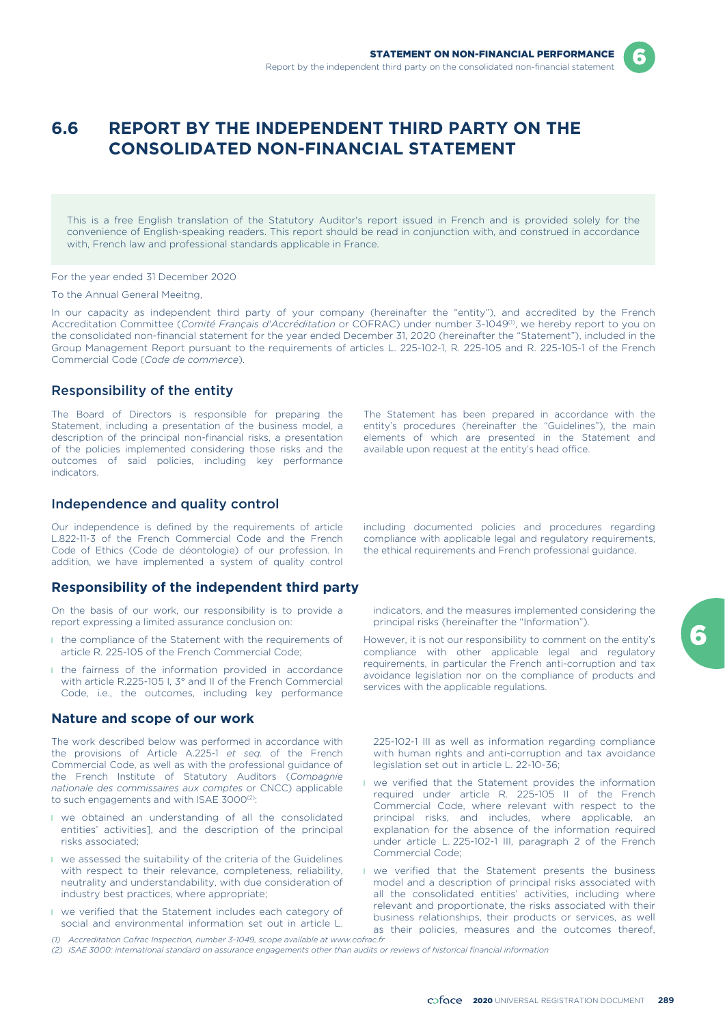# **6.6 REPORT BY THE INDEPENDENT THIRD PARTY ON THE CONSOLIDATED NON-FINANCIAL STATEMENT**

This is a free English translation of the Statutory Auditor's report issued in French and is provided solely for the convenience of English-speaking readers. This report should be read in conjunction with, and construed in accordance with, French law and professional standards applicable in France.

For the year ended 31 December 2020

To the Annual General Meeitng,

In our capacity as independent third party of your company (hereinafter the "entity"), and accredited by the French Accreditation Committee (Comité Français d'Accréditation or COFRAC) under number 3-1049<sup>(1)</sup>, we hereby report to you on the consolidated non-financial statement for the year ended December 31, 2020 (hereinafter the "Statement"), included in the Group Management Report pursuant to the requirements of articles L. 225-102-1, R. 225-105 and R. 225-105-1 of the French Commercial Code (*Code de commerce*).

## Responsibility of the entity

The Board of Directors is responsible for preparing the Statement, including a presentation of the business model, a description of the principal non-financial risks, a presentation of the policies implemented considering those risks and the outcomes of said policies, including key performance indicators.

The Statement has been prepared in accordance with the entity's procedures (hereinafter the "Guidelines"), the main elements of which are presented in the Statement and available upon request at the entity's head office.

## Independence and quality control

Our independence is defined by the requirements of article including documented policies and procedures regarding L.822-11-3 of the French Commercial Code and the French compliance with applicable legal and regulatory requirements, Code of Ethics (Code de déontologie) of our profession. In the ethical requirements and French professio Code of Ethics (Code de déontologie) of our profession. In addition, we have implemented a system of quality control

## **Responsibility of the independent third party**

On the basis of our work, our responsibility is to provide a report expressing a limited assurance conclusion on:

- **I** the compliance of the Statement with the requirements of article R. 225-105 of the French Commercial Code;
- I the fairness of the information provided in accordance with article R.225-105 I, 3° and II of the French Commercial Code, i.e., the outcomes, including key performance

# **Nature and scope of our work**

The work described below was performed in accordance with the provisions of Article A.225-1 *et seq.* of the French Commercial Code, as well as with the professional guidance of the French Institute of Statutory Auditors (*Compagnie nationale des commissaires aux comptes* or CNCC) applicable to such engagements and with ISAE 3000<sup>(2)</sup>:

- l we obtained an understanding of all the consolidated entities' activities], and the description of the principal risks associated;
- l we assessed the suitability of the criteria of the Guidelines with respect to their relevance, completeness, reliability, neutrality and understandability, with due consideration of industry best practices, where appropriate;
- l we verified that the Statement includes each category of social and environmental information set out in article L.

*(1) Accreditation Cofrac Inspection, number 3-1049, scope available at www.cofrac.fr*

indicators, and the measures implemented considering the principal risks (hereinafter the "Information").

However, it is not our responsibility to comment on the entity's compliance with other applicable legal and regulatory requirements, in particular the French anti-corruption and tax avoidance legislation nor on the compliance of products and services with the applicable regulations.

225-102-1 III as well as information regarding compliance with human rights and anti-corruption and tax avoidance legislation set out in article L. 22-10-36;

- **I** we verified that the Statement provides the information required under article R. 225-105 II of the French Commercial Code, where relevant with respect to the principal risks, and includes, where applicable, an explanation for the absence of the information required under article L. 225-102-1 III, paragraph 2 of the French Commercial Code;
- **I** we verified that the Statement presents the business model and a description of principal risks associated with all the consolidated entities' activities, including where relevant and proportionate, the risks associated with their business relationships, their products or services, as well as their policies, measures and the outcomes thereof,
- *(2) ISAE 3000: international standard on assurance engagements other than audits or reviews of historical financial information*

6